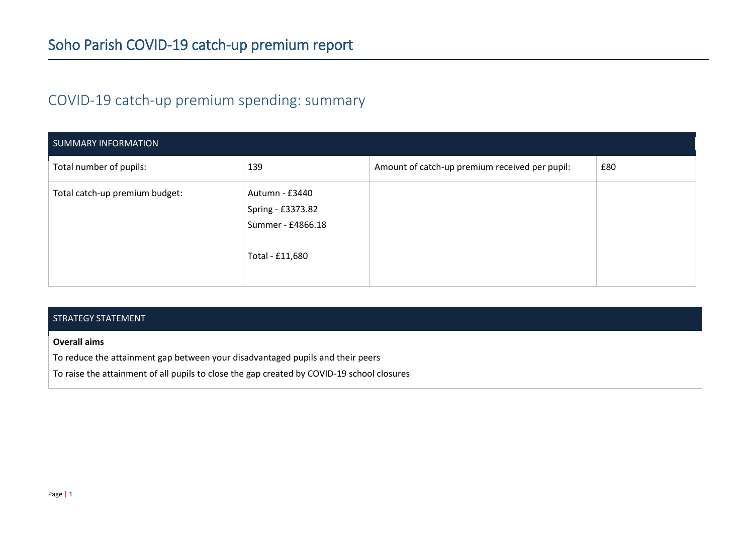## COVID-19 catch-up premium spending: summary

| SUMMARY INFORMATION            |                                                                             |                                                |     |  |  |
|--------------------------------|-----------------------------------------------------------------------------|------------------------------------------------|-----|--|--|
| Total number of pupils:        | 139                                                                         | Amount of catch-up premium received per pupil: | £80 |  |  |
| Total catch-up premium budget: | Autumn - £3440<br>Spring - £3373.82<br>Summer - £4866.18<br>Total - £11,680 |                                                |     |  |  |

### STRATEGY STATEMENT

#### **Overall aims**

To reduce the attainment gap between your disadvantaged pupils and their peers

To raise the attainment of all pupils to close the gap created by COVID-19 school closures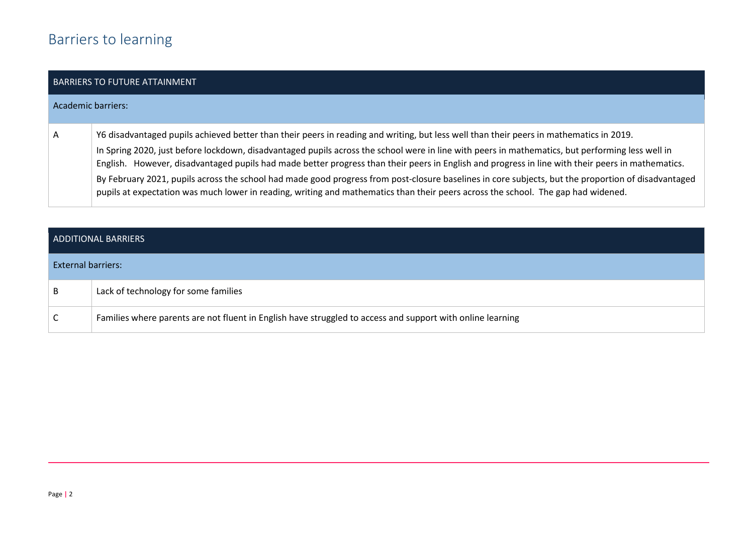# Barriers to learning

| <b>BARRIERS TO FUTURE ATTAINMENT</b> |                                                                                                                                                                                                                                                                                                                                                                                                                                                                                                                                                                                                                                                                                                                                              |  |  |
|--------------------------------------|----------------------------------------------------------------------------------------------------------------------------------------------------------------------------------------------------------------------------------------------------------------------------------------------------------------------------------------------------------------------------------------------------------------------------------------------------------------------------------------------------------------------------------------------------------------------------------------------------------------------------------------------------------------------------------------------------------------------------------------------|--|--|
|                                      | <b>Academic barriers:</b>                                                                                                                                                                                                                                                                                                                                                                                                                                                                                                                                                                                                                                                                                                                    |  |  |
| A                                    | Y6 disadvantaged pupils achieved better than their peers in reading and writing, but less well than their peers in mathematics in 2019.<br>In Spring 2020, just before lockdown, disadvantaged pupils across the school were in line with peers in mathematics, but performing less well in<br>English. However, disadvantaged pupils had made better progress than their peers in English and progress in line with their peers in mathematics.<br>By February 2021, pupils across the school had made good progress from post-closure baselines in core subjects, but the proportion of disadvantaged<br>pupils at expectation was much lower in reading, writing and mathematics than their peers across the school. The gap had widened. |  |  |

| <b>ADDITIONAL BARRIERS</b> |                                                                                                            |  |  |
|----------------------------|------------------------------------------------------------------------------------------------------------|--|--|
| <b>External barriers:</b>  |                                                                                                            |  |  |
| B                          | Lack of technology for some families                                                                       |  |  |
| $\mathsf{C}$               | Families where parents are not fluent in English have struggled to access and support with online learning |  |  |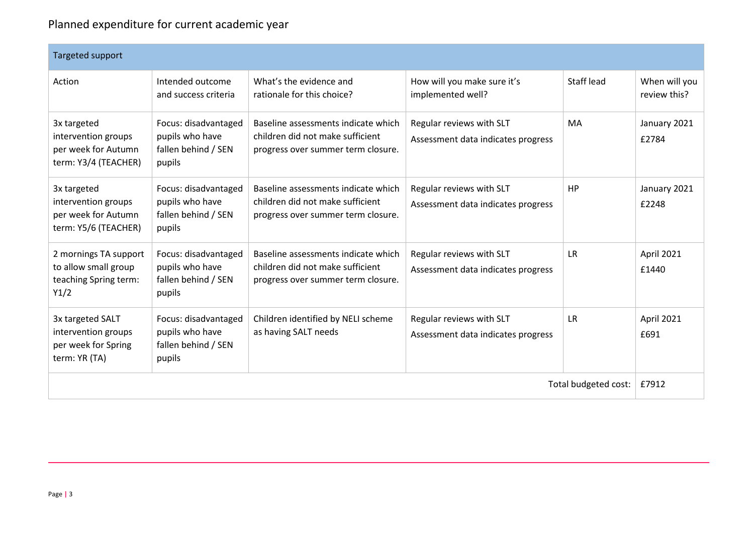### Planned expenditure for current academic year

| Targeted support                                                                  |                                                                          |                                                                                                               |                                                                |            |                               |
|-----------------------------------------------------------------------------------|--------------------------------------------------------------------------|---------------------------------------------------------------------------------------------------------------|----------------------------------------------------------------|------------|-------------------------------|
| Action                                                                            | Intended outcome<br>and success criteria                                 | What's the evidence and<br>rationale for this choice?                                                         | How will you make sure it's<br>implemented well?               | Staff lead | When will you<br>review this? |
| 3x targeted<br>intervention groups<br>per week for Autumn<br>term: Y3/4 (TEACHER) | Focus: disadvantaged<br>pupils who have<br>fallen behind / SEN<br>pupils | Baseline assessments indicate which<br>children did not make sufficient<br>progress over summer term closure. | Regular reviews with SLT<br>Assessment data indicates progress | MA         | January 2021<br>£2784         |
| 3x targeted<br>intervention groups<br>per week for Autumn<br>term: Y5/6 (TEACHER) | Focus: disadvantaged<br>pupils who have<br>fallen behind / SEN<br>pupils | Baseline assessments indicate which<br>children did not make sufficient<br>progress over summer term closure. | Regular reviews with SLT<br>Assessment data indicates progress | <b>HP</b>  | January 2021<br>£2248         |
| 2 mornings TA support<br>to allow small group<br>teaching Spring term:<br>Y1/2    | Focus: disadvantaged<br>pupils who have<br>fallen behind / SEN<br>pupils | Baseline assessments indicate which<br>children did not make sufficient<br>progress over summer term closure. | Regular reviews with SLT<br>Assessment data indicates progress | <b>LR</b>  | April 2021<br>£1440           |
| 3x targeted SALT<br>intervention groups<br>per week for Spring<br>term: YR (TA)   | Focus: disadvantaged<br>pupils who have<br>fallen behind / SEN<br>pupils | Children identified by NELI scheme<br>as having SALT needs                                                    | Regular reviews with SLT<br>Assessment data indicates progress | <b>LR</b>  | April 2021<br>£691            |
| Total budgeted cost:                                                              |                                                                          |                                                                                                               |                                                                | £7912      |                               |